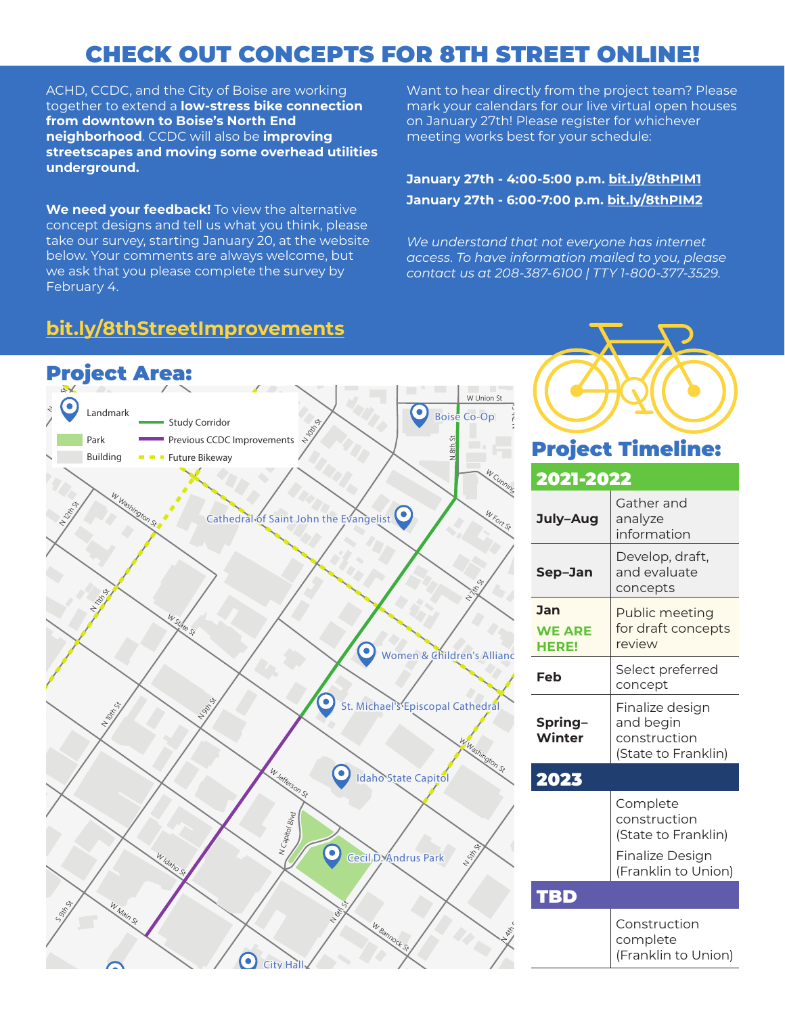## CHECK OUT CONCEPTS FOR 8TH STREET ONLINE!

ACHD, CCDC, and the City of Boise are working together to extend a **low-stress bike connection from downtown to Boise's North End neighborhood**. CCDC will also be **improving streetscapes and moving some overhead utilities underground.** 

**We need your feedback!** To view the alternative concept designs and tell us what you think, please take our survey, starting January 20, at the website below. Your comments are always welcome, but we ask that you please complete the survey by February 4.

## **bit.ly/8thStreetImprovements**

Want to hear directly from the project team? Please mark your calendars for our live virtual open houses on January 27th! Please register for whichever meeting works best for your schedule:

### **January 27th - 4:00-5:00 p.m. bit.ly/8thPIM1 January 27th - 6:00-7:00 p.m. bit.ly/8thPIM2**

*We understand that not everyone has internet access. To have information mailed to you, please contact us at 208-387-6100 | TTY 1-800-377-3529.*



# Project Timeline:

| 2021-2022                            |                                                                                           |
|--------------------------------------|-------------------------------------------------------------------------------------------|
| July-Aug                             | Gather and<br>analyze<br>information                                                      |
| Sep-Jan                              | Develop, draft,<br>and evaluate<br>concepts                                               |
| Jan<br><b>WE ARE</b><br><b>HERE!</b> | Public meeting<br>for draft concepts<br>review                                            |
| Feb                                  | Select preferred<br>concept                                                               |
| Spring-<br>Winter                    | Finalize design<br>and begin<br>construction<br>(State to Franklin)                       |
| 2023                                 |                                                                                           |
|                                      | Complete<br>construction<br>(State to Franklin)<br>Finalize Design<br>(Franklin to Union) |
| TBD                                  |                                                                                           |
|                                      | Construction<br>complete<br>(Franklin to Union)                                           |